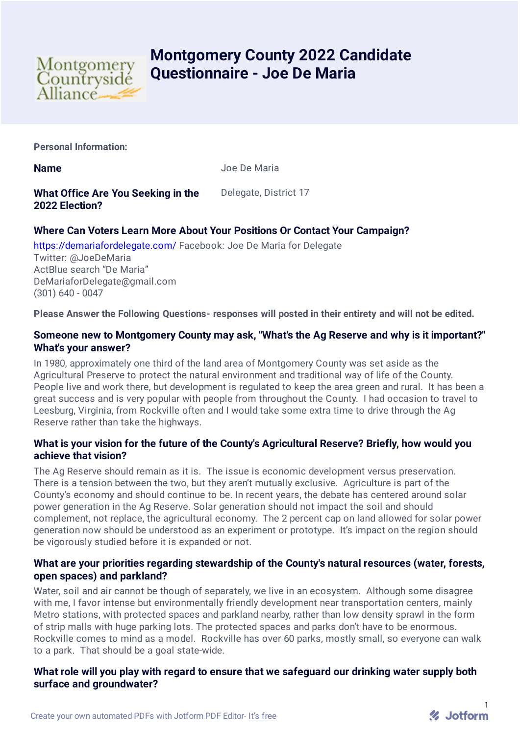

# **Montgomery County 2022 Candidate Questionnaire - Joe De Maria**

**Personal Information:**

**Name** Joe De Maria

**What Office Are You Seeking in the 2022 Election?**

Delegate, District 17

## **Where Can Voters Learn More About Your Positions Or Contact Your Campaign?**

<https://demariafordelegate.com/> Facebook: Joe De Maria for Delegate

Twitter: @JoeDeMaria ActBlue search "De Maria" DeMariaforDelegate@gmail.com (301) 640 - 0047

**Please Answer the Following Questions- responses will posted in their entirety and will not be edited.**

## **Someone new to Montgomery County may ask, "What's the Ag Reserve and why is it important?" What's your answer?**

In 1980, approximately one third of the land area of Montgomery County was set aside as the Agricultural Preserve to protect the natural environment and traditional way of life of the County. People live and work there, but development is regulated to keep the area green and rural. It has been a great success and is very popular with people from throughout the County. I had occasion to travel to Leesburg, Virginia, from Rockville often and I would take some extra time to drive through the Ag Reserve rather than take the highways.

## **What is your vision for the future of the County's Agricultural Reserve? Briefly, how would you achieve that vision?**

The Ag Reserve should remain as it is. The issue is economic development versus preservation. There is a tension between the two, but they aren't mutually exclusive. Agriculture is part of the County's economy and should continue to be. In recent years, the debate has centered around solar power generation in the Ag Reserve. Solar generation should not impact the soil and should complement, not replace, the agricultural economy. The 2 percent cap on land allowed for solar power generation now should be understood as an experiment or prototype. It's impact on the region should be vigorously studied before it is expanded or not.

## **What are your priorities regarding stewardship of the County's natural resources (water, forests, open spaces) and parkland?**

Water, soil and air cannot be though of separately, we live in an ecosystem. Although some disagree with me, I favor intense but environmentally friendly development near transportation centers, mainly Metro stations, with protected spaces and parkland nearby, rather than low density sprawl in the form of strip malls with huge parking lots. The protected spaces and parks don't have to be enormous. Rockville comes to mind as a model. Rockville has over 60 parks, mostly small, so everyone can walk to a park. That should be a goal state-wide.

#### **What role will you play with regard to ensure that we safeguard our drinking water supply both surface and groundwater?**

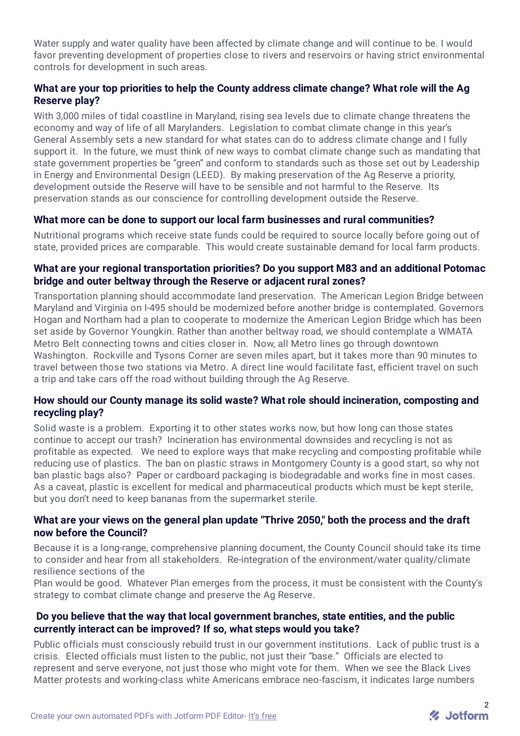Water supply and water quality have been affected by climate change and will continue to be. I would favor preventing development of properties close to rivers and reservoirs or having strict environmental controls for development in such areas.

## **What are your top priorities to help the County address climate change? What role will the Ag Reserve play?**

With 3,000 miles of tidal coastline in Maryland, rising sea levels due to climate change threatens the economy and way of life of all Marylanders. Legislation to combat climate change in this year's General Assembly sets a new standard for what states can do to address climate change and I fully support it. In the future, we must think of new ways to combat climate change such as mandating that state government properties be "green" and conform to standards such as those set out by Leadership in Energy and Environmental Design (LEED). By making preservation of the Ag Reserve a priority, development outside the Reserve will have to be sensible and not harmful to the Reserve. Its preservation stands as our conscience for controlling development outside the Reserve.

#### **What more can be done to support our local farm businesses and rural communities?**

Nutritional programs which receive state funds could be required to source locally before going out of state, provided prices are comparable. This would create sustainable demand for local farm products.

#### **What are your regional transportation priorities? Do you support M83 and an additional Potomac bridge and outer beltway through the Reserve or adjacent rural zones?**

Transportation planning should accommodate land preservation. The American Legion Bridge between Maryland and Virginia on I-495 should be modernized before another bridge is contemplated. Governors Hogan and Northam had a plan to cooperate to modernize the American Legion Bridge which has been set aside by Governor Youngkin. Rather than another beltway road, we should contemplate a WMATA Metro Belt connecting towns and cities closer in. Now, all Metro lines go through downtown Washington. Rockville and Tysons Corner are seven miles apart, but it takes more than 90 minutes to travel between those two stations via Metro. A direct line would facilitate fast, efficient travel on such a trip and take cars off the road without building through the Ag Reserve.

## **How should our County manage its solid waste? What role should incineration, composting and recycling play?**

Solid waste is a problem. Exporting it to other states works now, but how long can those states continue to accept our trash? Incineration has environmental downsides and recycling is not as profitable as expected. We need to explore ways that make recycling and composting profitable while reducing use of plastics. The ban on plastic straws in Montgomery County is a good start, so why not ban plastic bags also? Paper or cardboard packaging is biodegradable and works fine in most cases. As a caveat, plastic is excellent for medical and pharmaceutical products which must be kept sterile, but you don't need to keep bananas from the supermarket sterile.

## **What are your views on the general plan update "Thrive 2050," both the process and the draft now before the Council?**

Because it is a long-range, comprehensive planning document, the County Council should take its time to consider and hear from all stakeholders. Re-integration of the environment/water quality/climate resilience sections of the

Plan would be good. Whatever Plan emerges from the process, it must be consistent with the County's strategy to combat climate change and preserve the Ag Reserve.

#### **Do you believe that the way that local government branches, state entities, and the public currently interact can be improved? If so, what steps would you take?**

Public officials must consciously rebuild trust in our government institutions. Lack of public trust is a crisis. Elected officials must listen to the public, not just their "base." Officials are elected to represent and serve everyone, not just those who might vote for them. When we see the Black Lives Matter protests and working-class white Americans embrace neo-fascism, it indicates large numbers